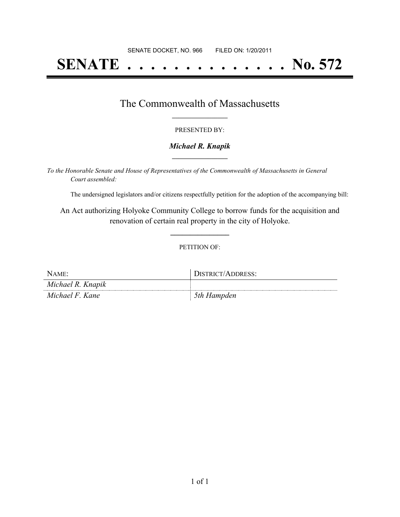# **SENATE . . . . . . . . . . . . . . No. 572**

### The Commonwealth of Massachusetts **\_\_\_\_\_\_\_\_\_\_\_\_\_\_\_\_\_**

#### PRESENTED BY:

#### *Michael R. Knapik* **\_\_\_\_\_\_\_\_\_\_\_\_\_\_\_\_\_**

*To the Honorable Senate and House of Representatives of the Commonwealth of Massachusetts in General Court assembled:*

The undersigned legislators and/or citizens respectfully petition for the adoption of the accompanying bill:

An Act authorizing Holyoke Community College to borrow funds for the acquisition and renovation of certain real property in the city of Holyoke.

**\_\_\_\_\_\_\_\_\_\_\_\_\_\_\_**

#### PETITION OF:

| NAME:             | DISTRICT/ADDRESS: |
|-------------------|-------------------|
| Michael R. Knapik |                   |
| Michael F. Kane   | 5th Hampden       |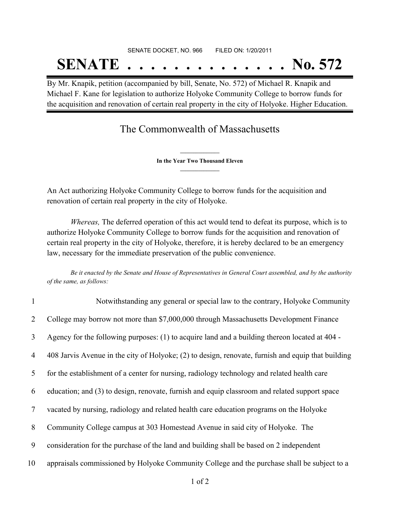# SENATE DOCKET, NO. 966 FILED ON: 1/20/2011 **SENATE . . . . . . . . . . . . . . No. 572**

By Mr. Knapik, petition (accompanied by bill, Senate, No. 572) of Michael R. Knapik and Michael F. Kane for legislation to authorize Holyoke Community College to borrow funds for the acquisition and renovation of certain real property in the city of Holyoke. Higher Education.

## The Commonwealth of Massachusetts

**\_\_\_\_\_\_\_\_\_\_\_\_\_\_\_ In the Year Two Thousand Eleven \_\_\_\_\_\_\_\_\_\_\_\_\_\_\_**

An Act authorizing Holyoke Community College to borrow funds for the acquisition and renovation of certain real property in the city of Holyoke.

*Whereas,* The deferred operation of this act would tend to defeat its purpose, which is to authorize Holyoke Community College to borrow funds for the acquisition and renovation of certain real property in the city of Holyoke, therefore, it is hereby declared to be an emergency law, necessary for the immediate preservation of the public convenience.

Be it enacted by the Senate and House of Representatives in General Court assembled, and by the authority *of the same, as follows:*

| 1      | Notwithstanding any general or special law to the contrary, Holyoke Community                      |
|--------|----------------------------------------------------------------------------------------------------|
| 2      | College may borrow not more than \$7,000,000 through Massachusetts Development Finance             |
| 3      | Agency for the following purposes: (1) to acquire land and a building thereon located at 404 -     |
| 4      | 408 Jarvis Avenue in the city of Holyoke; (2) to design, renovate, furnish and equip that building |
| 5      | for the establishment of a center for nursing, radiology technology and related health care        |
| 6      | education; and (3) to design, renovate, furnish and equip classroom and related support space      |
| $\tau$ | vacated by nursing, radiology and related health care education programs on the Holyoke            |
| 8      | Community College campus at 303 Homestead Avenue in said city of Holyoke. The                      |
| 9      | consideration for the purchase of the land and building shall be based on 2 independent            |
| 10     | appraisals commissioned by Holyoke Community College and the purchase shall be subject to a        |